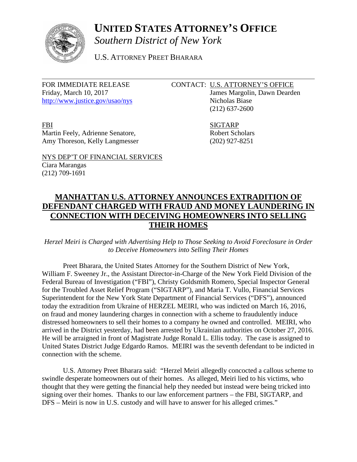

## **UNITED STATES ATTORNEY'S OFFICE**

*Southern District of New York*

U.S. ATTORNEY PREET BHARARA

Friday, March 10, 2017 James Margolin, Dawn Dearden <http://www.justice.gov/usao/nys> Nicholas Biase

### FOR IMMEDIATE RELEASE CONTACT: U.S. ATTORNEY'S OFFICE

(212) 637-2600

FBI SIGTARP Martin Feely, Adrienne Senatore, Robert Scholars Amy Thoreson, Kelly Langmesser (202) 927-8251

NYS DEP'T OF FINANCIAL SERVICES

# Ciara Marangas (212) 709-1691

### **MANHATTAN U.S. ATTORNEY ANNOUNCES EXTRADITION OF DEFENDANT CHARGED WITH FRAUD AND MONEY LAUNDERING IN CONNECTION WITH DECEIVING HOMEOWNERS INTO SELLING THEIR HOMES**

#### *Herzel Meiri is Charged with Advertising Help to Those Seeking to Avoid Foreclosure in Order to Deceive Homeowners into Selling Their Homes*

Preet Bharara, the United States Attorney for the Southern District of New York, William F. Sweeney Jr., the Assistant Director-in-Charge of the New York Field Division of the Federal Bureau of Investigation ("FBI"), Christy Goldsmith Romero, Special Inspector General for the Troubled Asset Relief Program ("SIGTARP"), and Maria T. Vullo, Financial Services Superintendent for the New York State Department of Financial Services ("DFS"), announced today the extradition from Ukraine of HERZEL MEIRI, who was indicted on March 16, 2016, on fraud and money laundering charges in connection with a scheme to fraudulently induce distressed homeowners to sell their homes to a company he owned and controlled. MEIRI, who arrived in the District yesterday, had been arrested by Ukrainian authorities on October 27, 2016. He will be arraigned in front of Magistrate Judge Ronald L. Ellis today. The case is assigned to United States District Judge Edgardo Ramos. MEIRI was the seventh defendant to be indicted in connection with the scheme.

U.S. Attorney Preet Bharara said: "Herzel Meiri allegedly concocted a callous scheme to swindle desperate homeowners out of their homes. As alleged, Meiri lied to his victims, who thought that they were getting the financial help they needed but instead were being tricked into signing over their homes. Thanks to our law enforcement partners – the FBI, SIGTARP, and DFS – Meiri is now in U.S. custody and will have to answer for his alleged crimes."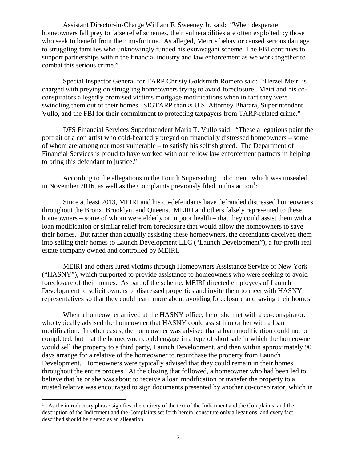Assistant Director-in-Charge William F. Sweeney Jr. said: "When desperate homeowners fall prey to false relief schemes, their vulnerabilities are often exploited by those who seek to benefit from their misfortune. As alleged, Meiri's behavior caused serious damage to struggling families who unknowingly funded his extravagant scheme. The FBI continues to support partnerships within the financial industry and law enforcement as we work together to combat this serious crime."

Special Inspector General for TARP Christy Goldsmith Romero said: "Herzel Meiri is charged with preying on struggling homeowners trying to avoid foreclosure. Meiri and his coconspirators allegedly promised victims mortgage modifications when in fact they were swindling them out of their homes. SIGTARP thanks U.S. Attorney Bharara, Superintendent Vullo, and the FBI for their commitment to protecting taxpayers from TARP-related crime."

DFS Financial Services Superintendent Maria T. Vullo said: "These allegations paint the portrait of a con artist who cold-heartedly preyed on financially distressed homeowners – some of whom are among our most vulnerable – to satisfy his selfish greed. The Department of Financial Services is proud to have worked with our fellow law enforcement partners in helping to bring this defendant to justice."

According to the allegations in the Fourth Superseding Indictment, which was unsealed in November 20[1](#page-1-0)6, as well as the Complaints previously filed in this action<sup>1</sup>:

Since at least 2013, MEIRI and his co-defendants have defrauded distressed homeowners throughout the Bronx, Brooklyn, and Queens. MEIRI and others falsely represented to these homeowners – some of whom were elderly or in poor health – that they could assist them with a loan modification or similar relief from foreclosure that would allow the homeowners to save their homes. But rather than actually assisting these homeowners, the defendants deceived them into selling their homes to Launch Development LLC ("Launch Development"), a for-profit real estate company owned and controlled by MEIRI.

MEIRI and others lured victims through Homeowners Assistance Service of New York ("HASNY"), which purported to provide assistance to homeowners who were seeking to avoid foreclosure of their homes. As part of the scheme, MEIRI directed employees of Launch Development to solicit owners of distressed properties and invite them to meet with HASNY representatives so that they could learn more about avoiding foreclosure and saving their homes.

When a homeowner arrived at the HASNY office, he or she met with a co-conspirator, who typically advised the homeowner that HASNY could assist him or her with a loan modification. In other cases, the homeowner was advised that a loan modification could not be completed, but that the homeowner could engage in a type of short sale in which the homeowner would sell the property to a third party, Launch Development, and then within approximately 90 days arrange for a relative of the homeowner to repurchase the property from Launch Development. Homeowners were typically advised that they could remain in their homes throughout the entire process. At the closing that followed, a homeowner who had been led to believe that he or she was about to receive a loan modification or transfer the property to a trusted relative was encouraged to sign documents presented by another co-conspirator, which in

<span id="page-1-0"></span> $1$  As the introductory phrase signifies, the entirety of the text of the Indictment and the Complaints, and the description of the Indictment and the Complaints set forth herein, constitute only allegations, and every fact described should be treated as an allegation.